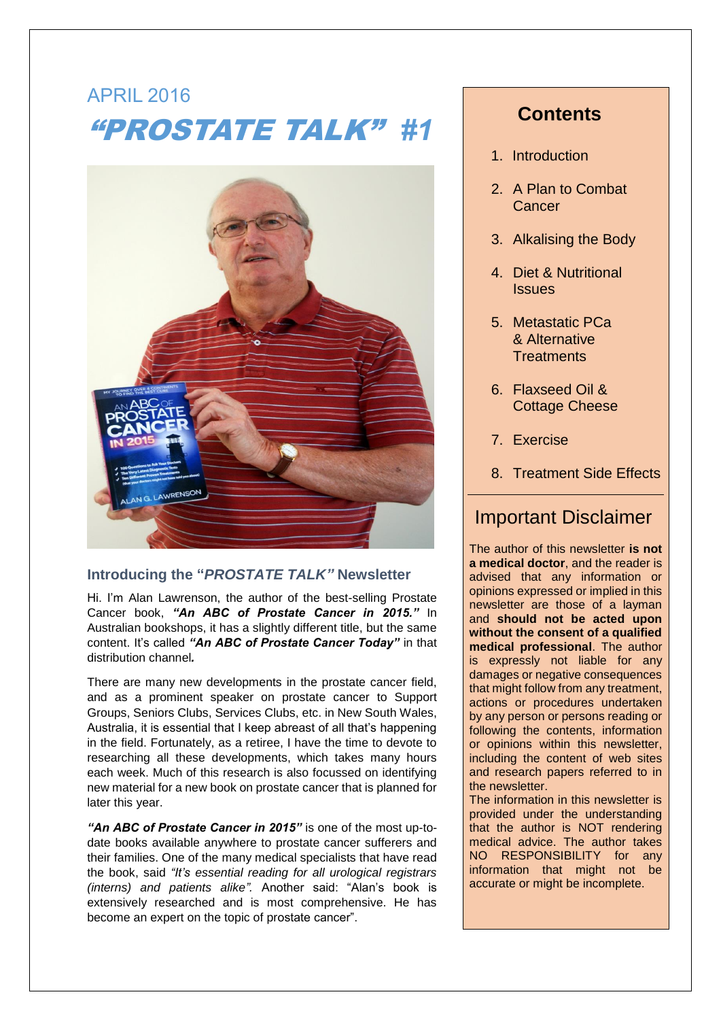# APRIL 2016 "PROSTATE TALK" *#1*



### **Introducing the "***PROSTATE TALK"* **Newsletter**

Hi. I'm Alan Lawrenson, the author of the best-selling Prostate Cancer book, *"An ABC of Prostate Cancer in 2015."* In Australian bookshops, it has a slightly different title, but the same content. It's called *"An ABC of Prostate Cancer Today"* in that distribution channel*.*

There are many new developments in the prostate cancer field, and as a prominent speaker on prostate cancer to Support Groups, Seniors Clubs, Services Clubs, etc. in New South Wales, Australia, it is essential that I keep abreast of all that's happening in the field. Fortunately, as a retiree, I have the time to devote to researching all these developments, which takes many hours each week. Much of this research is also focussed on identifying new material for a new book on prostate cancer that is planned for later this year.

*"An ABC of Prostate Cancer in 2015"* is one of the most up-todate books available anywhere to prostate cancer sufferers and their families. One of the many medical specialists that have read the book, said *"It's essential reading for all urological registrars (interns) and patients alike".* Another said: "Alan's book is extensively researched and is most comprehensive. He has become an expert on the topic of prostate cancer".

# **Contents**

- 1. Introduction
- 2. A Plan to Combat **Cancer**
- 3. Alkalising the Body
- 4. Diet & Nutritional Issues
- 5. Metastatic PCa & Alternative **Treatments**
- 6. Flaxseed Oil & Cottage Cheese
- 7. Exercise
- 8. Treatment Side Effects

# Important Disclaimer

The author of this newsletter **is not a medical doctor**, and the reader is advised that any information or opinions expressed or implied in this newsletter are those of a layman and **should not be acted upon without the consent of a qualified medical professional**. The author is expressly not liable for any damages or negative consequences that might follow from any treatment, actions or procedures undertaken by any person or persons reading or following the contents, information or opinions within this newsletter, including the content of web sites and research papers referred to in the newsletter.

The information in this newsletter is provided under the understanding that the author is NOT rendering medical advice. The author takes NO RESPONSIBILITY for any information that might not be accurate or might be incomplete.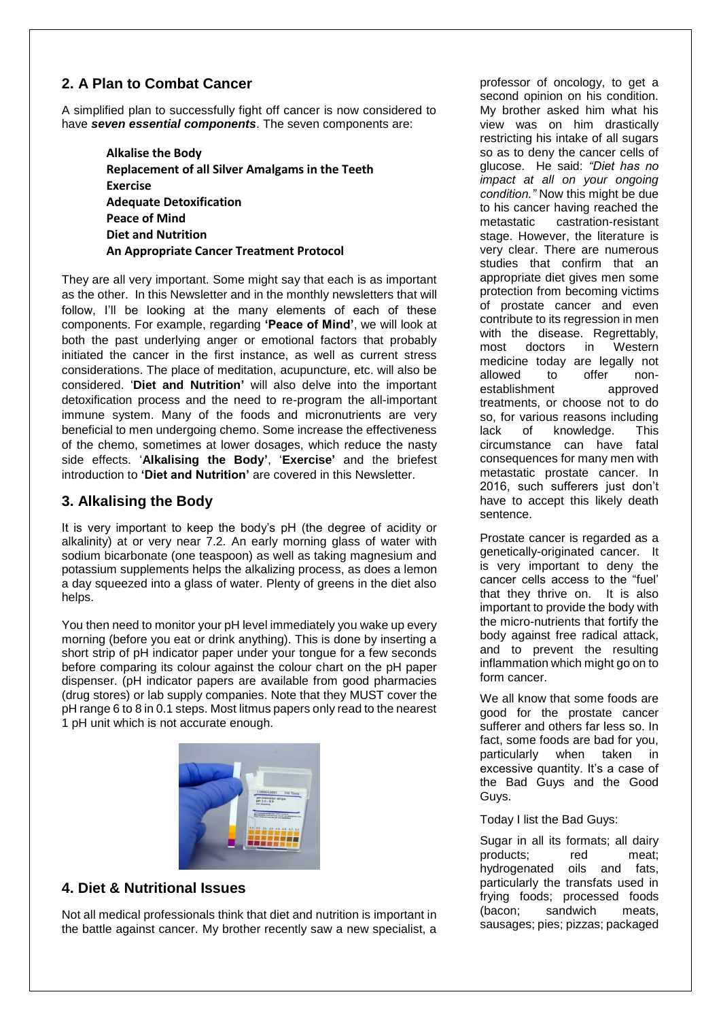## **2. A Plan to Combat Cancer**

A simplified plan to successfully fight off cancer is now considered to have *seven essential components*. The seven components are:

> **Alkalise the Body Replacement of all Silver Amalgams in the Teeth Exercise Adequate Detoxification Peace of Mind Diet and Nutrition An Appropriate Cancer Treatment Protocol**

They are all very important. Some might say that each is as important as the other. In this Newsletter and in the monthly newsletters that will follow, I'll be looking at the many elements of each of these components. For example, regarding **'Peace of Mind'**, we will look at both the past underlying anger or emotional factors that probably initiated the cancer in the first instance, as well as current stress considerations. The place of meditation, acupuncture, etc. will also be considered. '**Diet and Nutrition'** will also delve into the important detoxification process and the need to re-program the all-important immune system. Many of the foods and micronutrients are very beneficial to men undergoing chemo. Some increase the effectiveness of the chemo, sometimes at lower dosages, which reduce the nasty side effects. '**Alkalising the Body'**, '**Exercise'** and the briefest introduction to **'Diet and Nutrition'** are covered in this Newsletter.

## **3. Alkalising the Body**

It is very important to keep the body's pH (the degree of acidity or alkalinity) at or very near 7.2. An early morning glass of water with sodium bicarbonate (one teaspoon) as well as taking magnesium and potassium supplements helps the alkalizing process, as does a lemon a day squeezed into a glass of water. Plenty of greens in the diet also helps.

You then need to monitor your pH level immediately you wake up every morning (before you eat or drink anything). This is done by inserting a short strip of pH indicator paper under your tongue for a few seconds before comparing its colour against the colour chart on the pH paper dispenser. (pH indicator papers are available from good pharmacies (drug stores) or lab supply companies. Note that they MUST cover the pH range 6 to 8 in 0.1 steps. Most litmus papers only read to the nearest 1 pH unit which is not accurate enough.



### **4. Diet & Nutritional Issues**

Not all medical professionals think that diet and nutrition is important in the battle against cancer. My brother recently saw a new specialist, a

professor of oncology, to get a second opinion on his condition. My brother asked him what his view was on him drastically restricting his intake of all sugars so as to deny the cancer cells of glucose. He said: *"Diet has no impact at all on your ongoing condition."* Now this might be due to his cancer having reached the metastatic castration-resistant stage. However, the literature is very clear. There are numerous studies that confirm that an appropriate diet gives men some protection from becoming victims of prostate cancer and even contribute to its regression in men with the disease. Regrettably, most doctors in Western medicine today are legally not allowed to offer nonestablishment approved treatments, or choose not to do so, for various reasons including lack of knowledge. This circumstance can have fatal consequences for many men with metastatic prostate cancer. In 2016, such sufferers just don't have to accept this likely death sentence.

Prostate cancer is regarded as a genetically-originated cancer. It is very important to deny the cancer cells access to the "fuel' that they thrive on. It is also important to provide the body with the micro-nutrients that fortify the body against free radical attack, and to prevent the resulting inflammation which might go on to form cancer.

We all know that some foods are good for the prostate cancer sufferer and others far less so. In fact, some foods are bad for you, particularly when taken in excessive quantity. It's a case of the Bad Guys and the Good Guys.

Today I list the Bad Guys:

Sugar in all its formats; all dairy products; red meat; hydrogenated oils and fats, particularly the transfats used in frying foods; processed foods (bacon; sandwich meats, sausages; pies; pizzas; packaged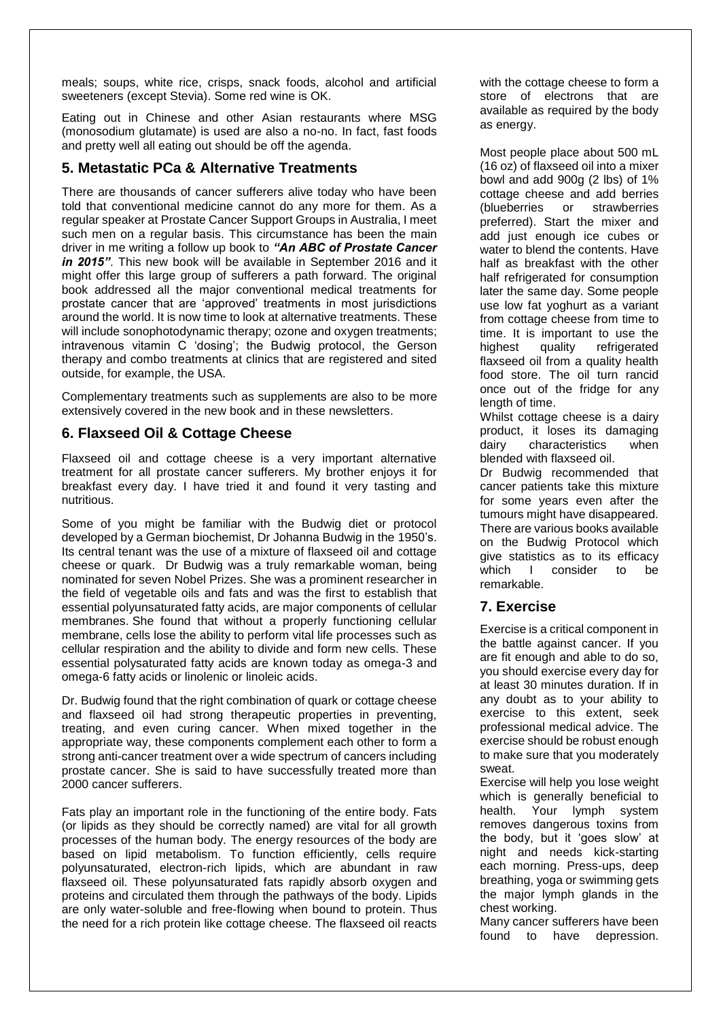meals; soups, white rice, crisps, snack foods, alcohol and artificial sweeteners (except Stevia). Some red wine is OK.

Eating out in Chinese and other Asian restaurants where MSG (monosodium glutamate) is used are also a no-no. In fact, fast foods and pretty well all eating out should be off the agenda.

#### **5. Metastatic PCa & Alternative Treatments**

There are thousands of cancer sufferers alive today who have been told that conventional medicine cannot do any more for them. As a regular speaker at Prostate Cancer Support Groups in Australia, I meet such men on a regular basis. This circumstance has been the main driver in me writing a follow up book to *"An ABC of Prostate Cancer in 2015"*. This new book will be available in September 2016 and it might offer this large group of sufferers a path forward. The original book addressed all the major conventional medical treatments for prostate cancer that are 'approved' treatments in most jurisdictions around the world. It is now time to look at alternative treatments. These will include sonophotodynamic therapy; ozone and oxygen treatments; intravenous vitamin C 'dosing'; the Budwig protocol, the Gerson therapy and combo treatments at clinics that are registered and sited outside, for example, the USA.

Complementary treatments such as supplements are also to be more extensively covered in the new book and in these newsletters.

#### **6. Flaxseed Oil & Cottage Cheese**

Flaxseed oil and cottage cheese is a very important alternative treatment for all prostate cancer sufferers. My brother enjoys it for breakfast every day. I have tried it and found it very tasting and nutritious.

Some of you might be familiar with the Budwig diet or protocol developed by a German biochemist, Dr Johanna Budwig in the 1950's. Its central tenant was the use of a mixture of flaxseed oil and cottage cheese or quark. Dr Budwig was a truly remarkable woman, being nominated for seven Nobel Prizes. She was a prominent researcher in the field of vegetable oils and fats and was the first to establish that essential polyunsaturated fatty acids, are major components of cellular membranes. She found that without a properly functioning cellular membrane, cells lose the ability to perform vital life processes such as cellular respiration and the ability to divide and form new cells. These essential polysaturated fatty acids are known today as omega-3 and omega-6 fatty acids or linolenic or linoleic acids.

Dr. Budwig found that the right combination of quark or cottage cheese and flaxseed oil had strong therapeutic properties in preventing, treating, and even curing cancer. When mixed together in the appropriate way, these components complement each other to form a strong anti-cancer treatment over a wide spectrum of cancers including prostate cancer. She is said to have successfully treated more than 2000 cancer sufferers.

Fats play an important role in the functioning of the entire body. Fats (or lipids as they should be correctly named) are vital for all growth processes of the human body. The energy resources of the body are based on lipid metabolism. To function efficiently, cells require polyunsaturated, electron-rich lipids, which are abundant in raw flaxseed oil. These polyunsaturated fats rapidly absorb oxygen and proteins and circulated them through the pathways of the body. Lipids are only water-soluble and free-flowing when bound to protein. Thus the need for a rich protein like cottage cheese. The flaxseed oil reacts

with the cottage cheese to form a store of electrons that are available as required by the body as energy.

Most people place about 500 mL (16 oz) of flaxseed oil into a mixer bowl and add 900g (2 lbs) of 1% cottage cheese and add berries (blueberries or strawberries preferred). Start the mixer and add just enough ice cubes or water to blend the contents. Have half as breakfast with the other half refrigerated for consumption later the same day. Some people use low fat yoghurt as a variant from cottage cheese from time to time. It is important to use the highest quality refrigerated flaxseed oil from a quality health food store. The oil turn rancid once out of the fridge for any length of time.

Whilst cottage cheese is a dairy product, it loses its damaging dairy characteristics when blended with flaxseed oil.

Dr Budwig recommended that cancer patients take this mixture for some years even after the tumours might have disappeared. There are various books available on the Budwig Protocol which give statistics as to its efficacy which I consider to be remarkable.

#### **7. Exercise**

Exercise is a critical component in the battle against cancer. If you are fit enough and able to do so, you should exercise every day for at least 30 minutes duration. If in any doubt as to your ability to exercise to this extent, seek professional medical advice. The exercise should be robust enough to make sure that you moderately sweat.

Exercise will help you lose weight which is generally beneficial to health. Your lymph system removes dangerous toxins from the body, but it 'goes slow' at night and needs kick-starting each morning. Press-ups, deep breathing, yoga or swimming gets the major lymph glands in the chest working.

Many cancer sufferers have been found to have depression.